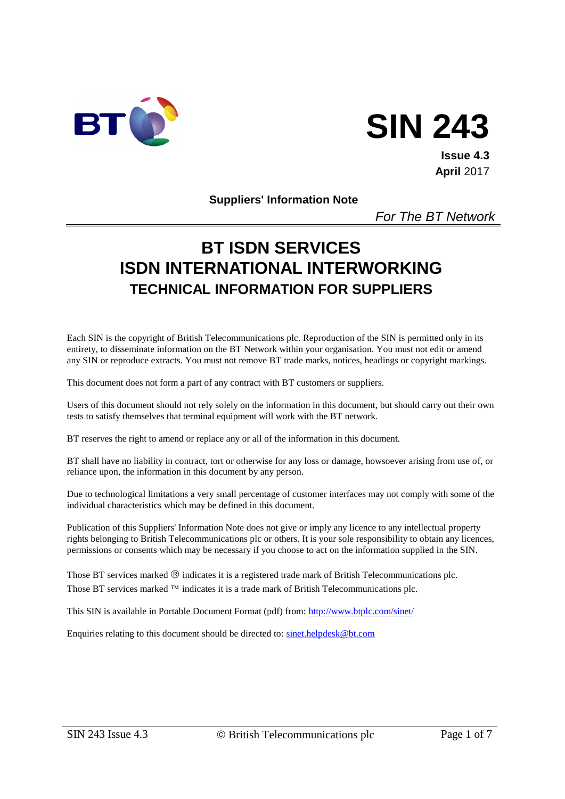

# **SIN 243**

**Issue 4.3 April** 2017

#### **Suppliers' Information Note**

*For The BT Network*

# **BT ISDN SERVICES ISDN INTERNATIONAL INTERWORKING TECHNICAL INFORMATION FOR SUPPLIERS**

Each SIN is the copyright of British Telecommunications plc. Reproduction of the SIN is permitted only in its entirety, to disseminate information on the BT Network within your organisation. You must not edit or amend any SIN or reproduce extracts. You must not remove BT trade marks, notices, headings or copyright markings.

This document does not form a part of any contract with BT customers or suppliers.

Users of this document should not rely solely on the information in this document, but should carry out their own tests to satisfy themselves that terminal equipment will work with the BT network.

BT reserves the right to amend or replace any or all of the information in this document.

BT shall have no liability in contract, tort or otherwise for any loss or damage, howsoever arising from use of, or reliance upon, the information in this document by any person.

Due to technological limitations a very small percentage of customer interfaces may not comply with some of the individual characteristics which may be defined in this document.

Publication of this Suppliers' Information Note does not give or imply any licence to any intellectual property rights belonging to British Telecommunications plc or others. It is your sole responsibility to obtain any licences, permissions or consents which may be necessary if you choose to act on the information supplied in the SIN.

Those BT services marked  $\circledR$  indicates it is a registered trade mark of British Telecommunications plc. Those BT services marked  $TM$  indicates it is a trade mark of British Telecommunications plc.

This SIN is available in Portable Document Format (pdf) from: [http://www.btplc.com/sinet/](http://www.sinet.bt.com/index.htm)

Enquiries relating to this document should be directed to: [sinet.helpdesk@bt.com](mailto:help@sinet.bt.com)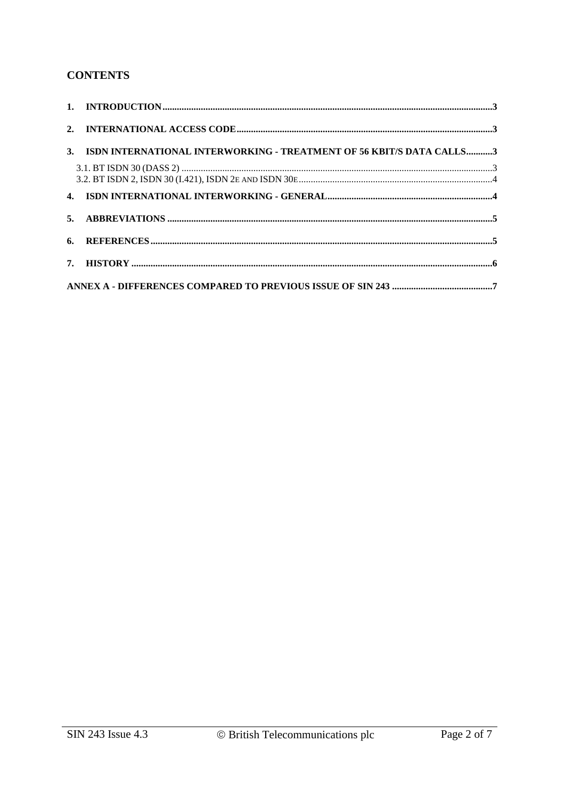# **CONTENTS**

| 3. ISDN INTERNATIONAL INTERWORKING - TREATMENT OF 56 KBIT/S DATA CALLS3 |  |
|-------------------------------------------------------------------------|--|
|                                                                         |  |
|                                                                         |  |
|                                                                         |  |
|                                                                         |  |
|                                                                         |  |
|                                                                         |  |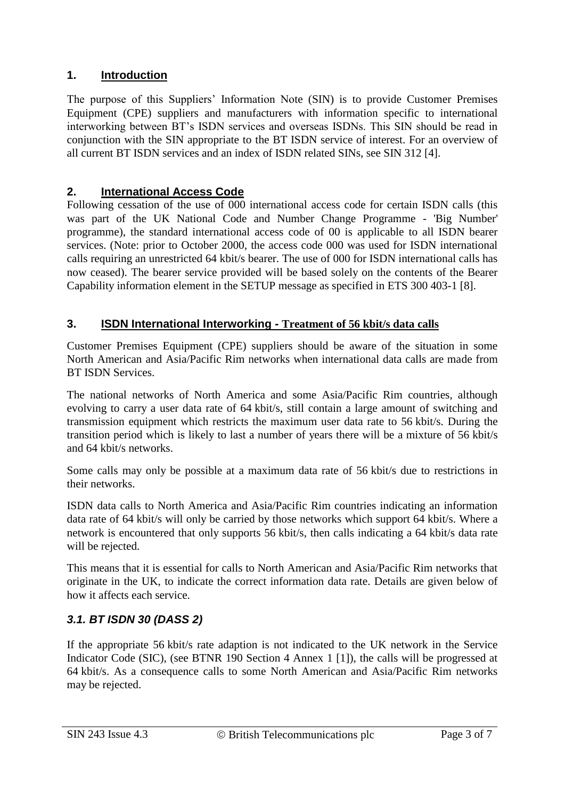# **1. Introduction**

The purpose of this Suppliers' Information Note (SIN) is to provide Customer Premises Equipment (CPE) suppliers and manufacturers with information specific to international interworking between BT's ISDN services and overseas ISDNs. This SIN should be read in conjunction with the SIN appropriate to the BT ISDN service of interest. For an overview of all current BT ISDN services and an index of ISDN related SINs, see SIN 312 [4].

## **2. International Access Code**

Following cessation of the use of 000 international access code for certain ISDN calls (this was part of the UK National Code and Number Change Programme - 'Big Number' programme), the standard international access code of 00 is applicable to all ISDN bearer services. (Note: prior to October 2000, the access code 000 was used for ISDN international calls requiring an unrestricted 64 kbit/s bearer. The use of 000 for ISDN international calls has now ceased). The bearer service provided will be based solely on the contents of the Bearer Capability information element in the SETUP message as specified in ETS 300 403-1 [8].

## **3. ISDN International Interworking - Treatment of 56 kbit/s data calls**

Customer Premises Equipment (CPE) suppliers should be aware of the situation in some North American and Asia/Pacific Rim networks when international data calls are made from BT ISDN Services.

The national networks of North America and some Asia/Pacific Rim countries, although evolving to carry a user data rate of 64 kbit/s, still contain a large amount of switching and transmission equipment which restricts the maximum user data rate to 56 kbit/s. During the transition period which is likely to last a number of years there will be a mixture of 56 kbit/s and 64 kbit/s networks.

Some calls may only be possible at a maximum data rate of 56 kbit/s due to restrictions in their networks.

ISDN data calls to North America and Asia/Pacific Rim countries indicating an information data rate of 64 kbit/s will only be carried by those networks which support 64 kbit/s. Where a network is encountered that only supports 56 kbit/s, then calls indicating a 64 kbit/s data rate will be rejected.

This means that it is essential for calls to North American and Asia/Pacific Rim networks that originate in the UK, to indicate the correct information data rate. Details are given below of how it affects each service.

# *3.1. BT ISDN 30 (DASS 2)*

If the appropriate 56 kbit/s rate adaption is not indicated to the UK network in the Service Indicator Code (SIC), (see BTNR 190 Section 4 Annex 1 [1]), the calls will be progressed at 64 kbit/s. As a consequence calls to some North American and Asia/Pacific Rim networks may be rejected.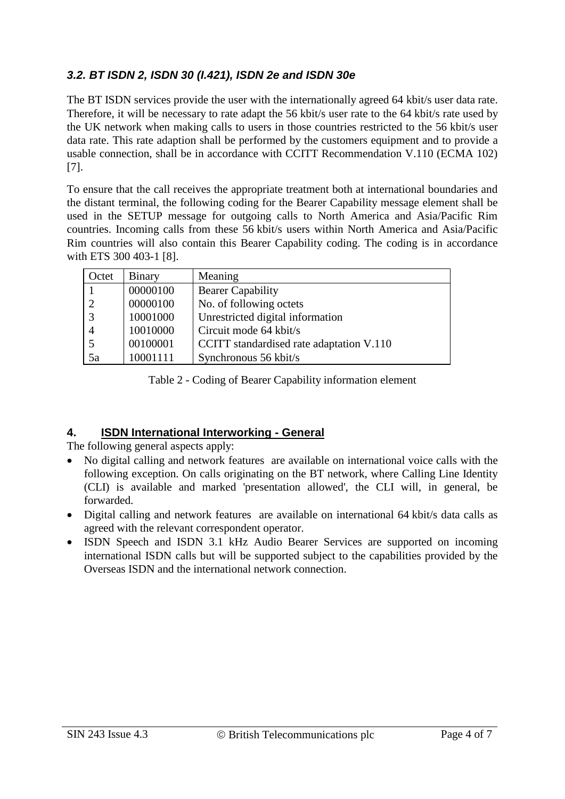# *3.2. BT ISDN 2, ISDN 30 (I.421), ISDN 2e and ISDN 30e*

The BT ISDN services provide the user with the internationally agreed 64 kbit/s user data rate. Therefore, it will be necessary to rate adapt the 56 kbit/s user rate to the 64 kbit/s rate used by the UK network when making calls to users in those countries restricted to the 56 kbit/s user data rate. This rate adaption shall be performed by the customers equipment and to provide a usable connection, shall be in accordance with CCITT Recommendation V.110 (ECMA 102) [7].

To ensure that the call receives the appropriate treatment both at international boundaries and the distant terminal, the following coding for the Bearer Capability message element shall be used in the SETUP message for outgoing calls to North America and Asia/Pacific Rim countries. Incoming calls from these 56 kbit/s users within North America and Asia/Pacific Rim countries will also contain this Bearer Capability coding. The coding is in accordance with ETS 300 403-1 [8].

| Octet | <b>Binary</b> | Meaning                                  |
|-------|---------------|------------------------------------------|
|       | 00000100      | <b>Bearer Capability</b>                 |
| 2     | 00000100      | No. of following octets                  |
| 3     | 10001000      | Unrestricted digital information         |
|       | 10010000      | Circuit mode 64 kbit/s                   |
|       | 00100001      | CCITT standardised rate adaptation V.110 |
| 5a    | 10001111      | Synchronous 56 kbit/s                    |

Table 2 - Coding of Bearer Capability information element

# **4. ISDN International Interworking - General**

The following general aspects apply:

- No digital calling and network features are available on international voice calls with the following exception. On calls originating on the BT network, where Calling Line Identity (CLI) is available and marked 'presentation allowed', the CLI will, in general, be forwarded.
- Digital calling and network features are available on international 64 kbit/s data calls as agreed with the relevant correspondent operator.
- ISDN Speech and ISDN 3.1 kHz Audio Bearer Services are supported on incoming international ISDN calls but will be supported subject to the capabilities provided by the Overseas ISDN and the international network connection.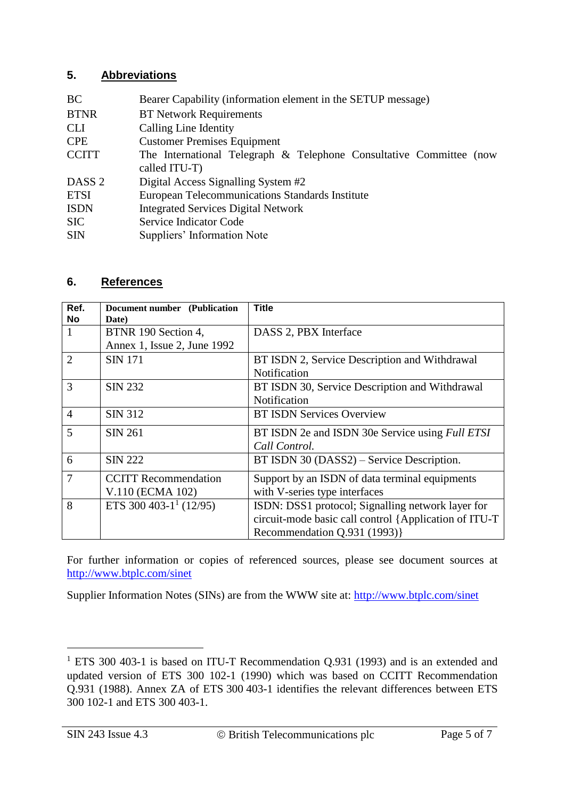# **5. Abbreviations**

| Bearer Capability (information element in the SETUP message)                         |
|--------------------------------------------------------------------------------------|
| <b>BT Network Requirements</b>                                                       |
| <b>Calling Line Identity</b>                                                         |
| <b>Customer Premises Equipment</b>                                                   |
| The International Telegraph & Telephone Consultative Committee (now<br>called ITU-T) |
| Digital Access Signalling System #2                                                  |
| <b>European Telecommunications Standards Institute</b>                               |
| <b>Integrated Services Digital Network</b>                                           |
| Service Indicator Code                                                               |
| Suppliers' Information Note                                                          |
|                                                                                      |

## **6. References**

| Ref.           | <b>Document number</b> (Publication | <b>Title</b>                                           |
|----------------|-------------------------------------|--------------------------------------------------------|
| <b>No</b>      | Date)                               |                                                        |
| 1              | BTNR 190 Section 4,                 | DASS 2, PBX Interface                                  |
|                | Annex 1, Issue 2, June 1992         |                                                        |
| $\overline{2}$ | <b>SIN 171</b>                      | BT ISDN 2, Service Description and Withdrawal          |
|                |                                     | Notification                                           |
| 3              | <b>SIN 232</b>                      | BT ISDN 30, Service Description and Withdrawal         |
|                |                                     | Notification                                           |
| $\overline{4}$ | <b>SIN 312</b>                      | <b>BT ISDN Services Overview</b>                       |
| 5              | <b>SIN 261</b>                      | BT ISDN 2e and ISDN 30e Service using <i>Full ETSI</i> |
|                |                                     | Call Control.                                          |
| 6              | <b>SIN 222</b>                      | BT ISDN 30 (DASS2) – Service Description.              |
| $\overline{7}$ | <b>CCITT Recommendation</b>         | Support by an ISDN of data terminal equipments         |
|                | V.110 (ECMA 102)                    | with V-series type interfaces                          |
| 8              | ETS 300 403-1 <sup>1</sup> (12/95)  | ISDN: DSS1 protocol; Signalling network layer for      |
|                |                                     | circuit-mode basic call control {Application of ITU-T  |
|                |                                     | Recommendation Q.931 (1993)}                           |

For further information or copies of referenced sources, please see document sources at [http://www.btplc.com/sinet](http://www.sinet.bt.com/usenum.htm#docsources)

Supplier Information Notes (SINs) are from the WWW site at: [http://www.btplc.com/sinet](http://www.sinet.bt.com/)

l

<sup>&</sup>lt;sup>1</sup> ETS 300 403-1 is based on ITU-T Recommendation Q.931 (1993) and is an extended and updated version of ETS 300 102-1 (1990) which was based on CCITT Recommendation Q.931 (1988). Annex ZA of ETS 300 403-1 identifies the relevant differences between ETS 300 102-1 and ETS 300 403-1.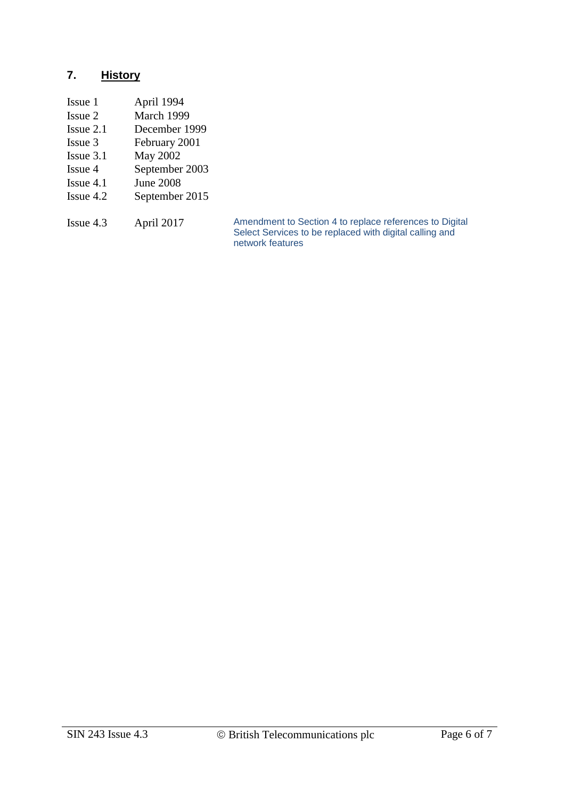# **7. History**

| Issue 1   | April 1994     |
|-----------|----------------|
| Issue 2   | March 1999     |
| Issue 2.1 | December 1999  |
| Issue 3   | February 2001  |
| Issue 3.1 | May 2002       |
| Issue 4   | September 2003 |
| T 41      | τ Α∩∩∩         |

- Issue 4.1 June 2008<br>Issue 4.2 September
- September 2015

Issue 4.3 April 2017 Amendment to Section 4 to replace references to Digital Select Services to be replaced with digital calling and network features